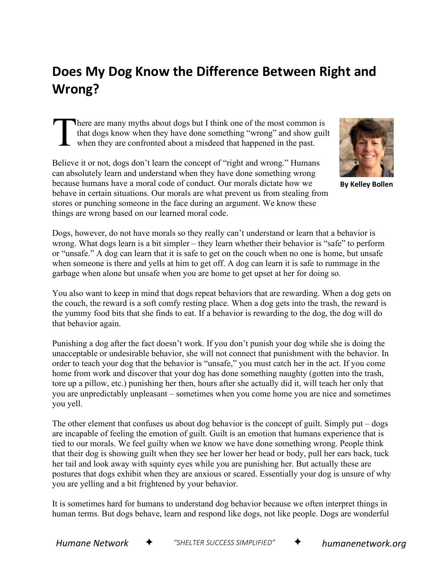## **Does My Dog Know the Difference Between Right and Wrong?**

here are many myths about dogs but I think one of the most common is that dogs know when they have done something "wrong" and show guilt when they are confronted about a misdeed that happened in the past. T

Believe it or not, dogs don't learn the concept of "right and wrong." Humans can absolutely learn and understand when they have done something wrong because humans have a moral code of conduct. Our morals dictate how we behave in certain situations. Our morals are what prevent us from stealing from stores or punching someone in the face during an argument. We know these things are wrong based on our learned moral code.



**By Kelley Bollen**

Dogs, however, do not have morals so they really can't understand or learn that a behavior is wrong. What dogs learn is a bit simpler – they learn whether their behavior is "safe" to perform or "unsafe." A dog can learn that it is safe to get on the couch when no one is home, but unsafe when someone is there and yells at him to get off. A dog can learn it is safe to rummage in the garbage when alone but unsafe when you are home to get upset at her for doing so.

You also want to keep in mind that dogs repeat behaviors that are rewarding. When a dog gets on the couch, the reward is a soft comfy resting place. When a dog gets into the trash, the reward is the yummy food bits that she finds to eat. If a behavior is rewarding to the dog, the dog will do that behavior again.

Punishing a dog after the fact doesn't work. If you don't punish your dog while she is doing the unacceptable or undesirable behavior, she will not connect that punishment with the behavior. In order to teach your dog that the behavior is "unsafe," you must catch her in the act. If you come home from work and discover that your dog has done something naughty (gotten into the trash, tore up a pillow, etc.) punishing her then, hours after she actually did it, will teach her only that you are unpredictably unpleasant – sometimes when you come home you are nice and sometimes you yell.

The other element that confuses us about dog behavior is the concept of guilt. Simply put – dogs are incapable of feeling the emotion of guilt. Guilt is an emotion that humans experience that is tied to our morals. We feel guilty when we know we have done something wrong. People think that their dog is showing guilt when they see her lower her head or body, pull her ears back, tuck her tail and look away with squinty eyes while you are punishing her. But actually these are postures that dogs exhibit when they are anxious or scared. Essentially your dog is unsure of why you are yelling and a bit frightened by your behavior.

It is sometimes hard for humans to understand dog behavior because we often interpret things in human terms. But dogs behave, learn and respond like dogs, not like people. Dogs are wonderful